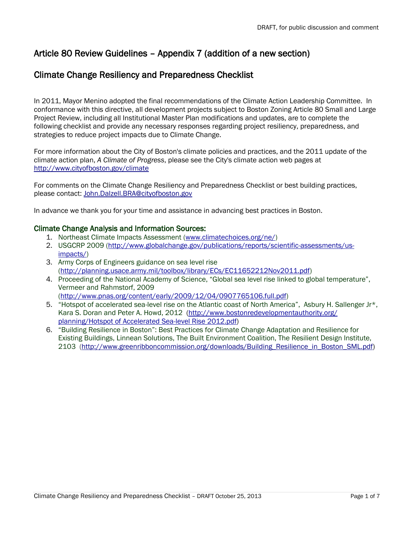# Article 80 Review Guidelines – Appendix 7 (addition of a new section)

## Climate Change Resiliency and Preparedness Checklist

In 2011, Mayor Menino adopted the final recommendations of the Climate Action Leadership Committee. In conformance with this directive, all development projects subject to Boston Zoning Article 80 Small and Large Project Review, including all Institutional Master Plan modifications and updates, are to complete the following checklist and provide any necessary responses regarding project resiliency, preparedness, and strategies to reduce project impacts due to Climate Change.

For more information about the City of Boston's climate policies and practices, and the 2011 update of the climate action plan, *A Climate of Progress*, please see the City's climate action web pages at [http://www.cityofboston.gov/climate](http://www.cityofboston.gov/climate/)

For comments on the Climate Change Resiliency and Preparedness Checklist or best building practices, please contact: [John.Dalzell.BRA@cityofboston.gov](mailto:John.Dalzell.BRA@cityofboston.gov)

In advance we thank you for your time and assistance in advancing best practices in Boston.

## Climate Change Analysis and Information Sources:

- 1. Northeast Climate Impacts Assessment [\(www.climatechoices.org/ne/\)](http://www.climatechoices.org/ne/)
- 2. USGCRP 2009 [\(http://www.globalchange.gov/publications/reports/scientific-assessments/us](http://www.globalchange.gov/publications/reports/scientific-assessments/us-impacts/)[impacts/\)](http://www.globalchange.gov/publications/reports/scientific-assessments/us-impacts/)
- 3. Army Corps of Engineers guidance on sea level rise [\(http://planning.usace.army.mil/toolbox/library/ECs/EC11652212Nov2011.pdf\)](http://planning.usace.army.mil/toolbox/library/ECs/EC11652212Nov2011.pdf)
- 4. Proceeding of the National Academy of Science, "Global sea level rise linked to global temperature", Vermeer and Rahmstorf, 2009 [\(http://www.pnas.org/content/early/2009/12/04/0907765106.full.pdf\)](http://www.pnas.org/content/early/2009/12/04/0907765106.full.pdf)
- 5. "Hotspot of accelerated sea-level rise on the Atlantic coast of North America", Asbury H. Sallenger Jr\*, Kara S. Doran and Peter A. Howd, 2012 [\(http://www.bostonredevelopmentauthority.org/](http://www.bostonredevelopmentauthority.org/%20planning/Hotspot%20of%20Accelerated%20Sea-level%20Rise%202012.pdf) [planning/Hotspot of Accelerated Sea-level Rise 2012.pdf\)](http://www.bostonredevelopmentauthority.org/%20planning/Hotspot%20of%20Accelerated%20Sea-level%20Rise%202012.pdf)
- 6. "Building Resilience in Boston": Best Practices for Climate Change Adaptation and Resilience for Existing Buildings, Linnean Solutions, The Built Environment Coalition, The Resilient Design Institute, 2103 [\(http://www.greenribboncommission.org/downloads/Building\\_Resilience\\_in\\_Boston\\_SML.pdf\)](http://www.greenribboncommission.org/downloads/Building_Resilience_in_Boston_SML.pdf)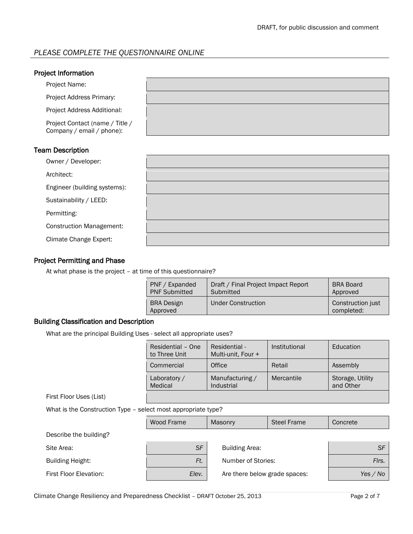## *PLEASE COMPLETE THE QUESTIONNAIRE ONLINE*

## Team Description

| Owner / Developer:              |  |
|---------------------------------|--|
| Architect:                      |  |
| Engineer (building systems):    |  |
| Sustainability / LEED:          |  |
| Permitting:                     |  |
| <b>Construction Management:</b> |  |
| Climate Change Expert:          |  |

## Project Permitting and Phase

At what phase is the project – at time of this questionnaire?

| <b>PNF</b><br>Expanded<br><b>PNF Submitted</b> | Draft / Final Project Impact Report<br>Submitted | <b>BRA Board</b><br>Approved    |
|------------------------------------------------|--------------------------------------------------|---------------------------------|
| <b>BRA Design</b><br>Approved                  | Under Construction                               | Construction just<br>completed: |

### Building Classification and Description

What are the principal Building Uses - select all appropriate uses?

|                                                               | Residential - One<br>to Three Unit | Residential -<br>Multi-unit, Four + | Institutional      | Education                     |
|---------------------------------------------------------------|------------------------------------|-------------------------------------|--------------------|-------------------------------|
|                                                               | Commercial                         | Office                              | Retail             | Assembly                      |
|                                                               | Laboratory /<br>Medical            | Manufacturing /<br>Industrial       | Mercantile         | Storage, Utility<br>and Other |
| First Floor Uses (List)                                       |                                    |                                     |                    |                               |
| What is the Construction Type - select most appropriate type? |                                    |                                     |                    |                               |
|                                                               | Wood Frame                         | Masonry                             | <b>Steel Frame</b> | Concrete                      |
| Describe the building?                                        |                                    |                                     |                    |                               |
| Site Area:                                                    | <b>SF</b>                          | <b>Building Area:</b>               |                    | <b>SF</b>                     |
| <b>Building Height:</b>                                       | Ft.                                | Number of Stories:                  |                    | Firs.                         |
| First Floor Elevation:                                        | Elev.                              | Are there below grade spaces:       |                    | Yes / No                      |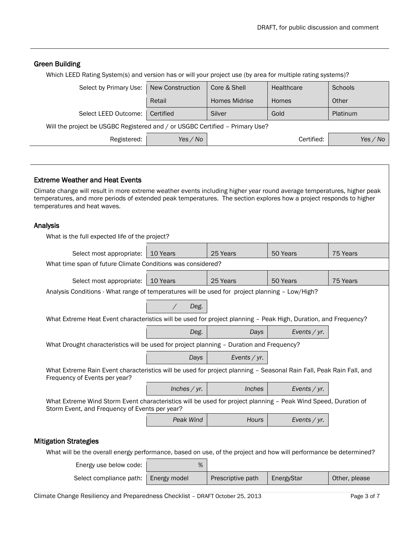#### Green Building

Which LEED Rating System(s) and version has or will your project use (by area for multiple rating systems)?

| Select by Primary Use:                                                       | New Construction | Core & Shell         | Healthcare | Schools  |  |
|------------------------------------------------------------------------------|------------------|----------------------|------------|----------|--|
|                                                                              | Retail           | <b>Homes Midrise</b> | Homes      | Other    |  |
| Select LEED Outcome:                                                         | Certified        | Silver               | Gold       | Platinum |  |
| Will the project be USGBC Registered and / or USGBC Certified - Primary Use? |                  |                      |            |          |  |
| Registered:                                                                  | Yes $\angle$ No  |                      | Certified: | Yes / No |  |
|                                                                              |                  |                      |            |          |  |

#### Extreme Weather and Heat Events

Climate change will result in more extreme weather events including higher year round average temperatures, higher peak temperatures, and more periods of extended peak temperatures. The section explores how a project responds to higher temperatures and heat waves.

#### Analysis

| , u luryolo                                                                                                                                                      |                |                 |                 |          |  |  |
|------------------------------------------------------------------------------------------------------------------------------------------------------------------|----------------|-----------------|-----------------|----------|--|--|
| What is the full expected life of the project?                                                                                                                   |                |                 |                 |          |  |  |
| Select most appropriate:                                                                                                                                         | 10 Years       | 25 Years        | 50 Years        | 75 Years |  |  |
| What time span of future Climate Conditions was considered?                                                                                                      |                |                 |                 |          |  |  |
| Select most appropriate:                                                                                                                                         | 10 Years       | 25 Years        | 50 Years        | 75 Years |  |  |
| Analysis Conditions - What range of temperatures will be used for project planning - Low/High?                                                                   |                |                 |                 |          |  |  |
|                                                                                                                                                                  | Deg.           |                 |                 |          |  |  |
| What Extreme Heat Event characteristics will be used for project planning - Peak High, Duration, and Frequency?                                                  |                |                 |                 |          |  |  |
|                                                                                                                                                                  | Deg.           | Days            | Events / $yr$ . |          |  |  |
| What Drought characteristics will be used for project planning - Duration and Frequency?                                                                         |                |                 |                 |          |  |  |
|                                                                                                                                                                  | Days           | Events / $yr$ . |                 |          |  |  |
| What Extreme Rain Event characteristics will be used for project planning - Seasonal Rain Fall, Peak Rain Fall, and<br>Frequency of Events per year?             |                |                 |                 |          |  |  |
|                                                                                                                                                                  | Inches $/$ yr. | <i>Inches</i>   | Events / yr.    |          |  |  |
| What Extreme Wind Storm Event characteristics will be used for project planning - Peak Wind Speed, Duration of<br>Storm Event, and Frequency of Events per year? |                |                 |                 |          |  |  |
|                                                                                                                                                                  | Peak Wind      | <b>Hours</b>    | Events / yr.    |          |  |  |
| <b>Mitigation Strategies</b>                                                                                                                                     |                |                 |                 |          |  |  |

What will be the overall energy performance, based on use, of the project and how will performance be determined?

| Energy use below code: L | %            |                   |            |               |
|--------------------------|--------------|-------------------|------------|---------------|
| Select compliance path:  | Energy model | Prescriptive path | EnergyStar | Other, please |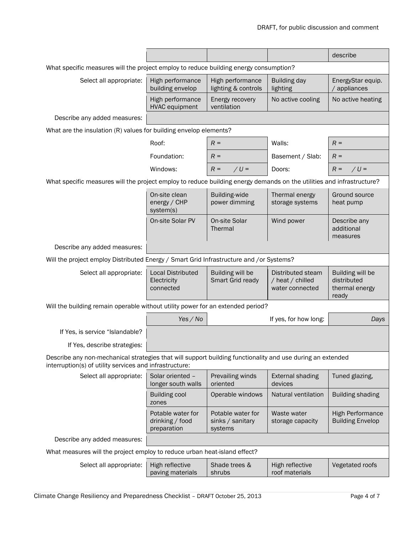|                                                                                                                                                                       |                                                      |                                                  |                                                          | describe                                                   |  |  |
|-----------------------------------------------------------------------------------------------------------------------------------------------------------------------|------------------------------------------------------|--------------------------------------------------|----------------------------------------------------------|------------------------------------------------------------|--|--|
| What specific measures will the project employ to reduce building energy consumption?                                                                                 |                                                      |                                                  |                                                          |                                                            |  |  |
| Select all appropriate:                                                                                                                                               | High performance<br>building envelop                 | High performance<br>lighting & controls          | <b>Building day</b><br>lighting                          | EnergyStar equip.<br>/ appliances                          |  |  |
|                                                                                                                                                                       | High performance<br><b>HVAC</b> equipment            | Energy recovery<br>ventilation                   | No active cooling                                        | No active heating                                          |  |  |
| Describe any added measures:                                                                                                                                          |                                                      |                                                  |                                                          |                                                            |  |  |
| What are the insulation (R) values for building envelop elements?                                                                                                     |                                                      |                                                  |                                                          |                                                            |  |  |
|                                                                                                                                                                       | Roof:                                                | $R =$                                            | Walls:                                                   | $R =$                                                      |  |  |
|                                                                                                                                                                       | Foundation:                                          | $R =$                                            | Basement / Slab:                                         | $R =$                                                      |  |  |
|                                                                                                                                                                       | Windows:                                             | $R =$<br>$/U =$                                  | Doors:                                                   | $/U =$<br>$R =$                                            |  |  |
| What specific measures will the project employ to reduce building energy demands on the utilities and infrastructure?                                                 |                                                      |                                                  |                                                          |                                                            |  |  |
|                                                                                                                                                                       | On-site clean<br>energy / CHP<br>system(s)           | <b>Building-wide</b><br>power dimming            | Thermal energy<br>storage systems                        | Ground source<br>heat pump                                 |  |  |
|                                                                                                                                                                       | On-site Solar PV                                     | On-site Solar<br>Thermal                         | Wind power                                               | Describe any<br>additional<br>measures                     |  |  |
| Describe any added measures:                                                                                                                                          |                                                      |                                                  |                                                          |                                                            |  |  |
| Will the project employ Distributed Energy / Smart Grid Infrastructure and /or Systems?                                                                               |                                                      |                                                  |                                                          |                                                            |  |  |
| Select all appropriate:                                                                                                                                               | <b>Local Distributed</b><br>Electricity<br>connected | Building will be<br>Smart Grid ready             | Distributed steam<br>/ heat / chilled<br>water connected | Building will be<br>distributed<br>thermal energy<br>ready |  |  |
| Will the building remain operable without utility power for an extended period?                                                                                       |                                                      |                                                  |                                                          |                                                            |  |  |
|                                                                                                                                                                       | Yes / No                                             |                                                  | If yes, for how long:                                    | Days                                                       |  |  |
| If Yes, is service "Islandable?                                                                                                                                       |                                                      |                                                  |                                                          |                                                            |  |  |
| If Yes, describe strategies:                                                                                                                                          |                                                      |                                                  |                                                          |                                                            |  |  |
| Describe any non-mechanical strategies that will support building functionality and use during an extended<br>interruption(s) of utility services and infrastructure: |                                                      |                                                  |                                                          |                                                            |  |  |
| Select all appropriate:                                                                                                                                               | Solar oriented -<br>longer south walls               | Prevailing winds<br>oriented                     | <b>External shading</b><br>devices                       | Tuned glazing,                                             |  |  |
|                                                                                                                                                                       | <b>Building cool</b><br>zones                        | Operable windows                                 | Natural ventilation                                      | <b>Building shading</b>                                    |  |  |
|                                                                                                                                                                       | Potable water for<br>drinking / food<br>preparation  | Potable water for<br>sinks / sanitary<br>systems | Waste water<br>storage capacity                          | <b>High Performance</b><br><b>Building Envelop</b>         |  |  |
| Describe any added measures:                                                                                                                                          |                                                      |                                                  |                                                          |                                                            |  |  |
| What measures will the project employ to reduce urban heat-island effect?                                                                                             |                                                      |                                                  |                                                          |                                                            |  |  |
| Select all appropriate:                                                                                                                                               | High reflective<br>paving materials                  | Shade trees &<br>shrubs                          | High reflective<br>roof materials                        | Vegetated roofs                                            |  |  |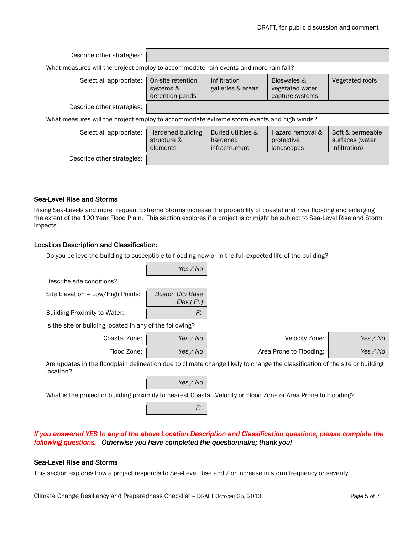| Describe other strategies:                                                                |                                                   |                                                  |                                                   |                                                      |
|-------------------------------------------------------------------------------------------|---------------------------------------------------|--------------------------------------------------|---------------------------------------------------|------------------------------------------------------|
| What measures will the project employ to accommodate rain events and more rain fall?      |                                                   |                                                  |                                                   |                                                      |
| Select all appropriate:                                                                   | On-site retention<br>systems &<br>detention ponds | Infiltration<br>galleries & areas                | Bioswales &<br>vegetated water<br>capture systems | Vegetated roofs                                      |
| Describe other strategies:                                                                |                                                   |                                                  |                                                   |                                                      |
| What measures will the project employ to accommodate extreme storm events and high winds? |                                                   |                                                  |                                                   |                                                      |
| Select all appropriate:                                                                   | Hardened building<br>structure &<br>elements      | Buried utilities &<br>hardened<br>infrastructure | Hazard removal &<br>protective<br>landscapes      | Soft & permeable<br>surfaces (water<br>infiltration) |
| Describe other strategies:                                                                |                                                   |                                                  |                                                   |                                                      |

#### Sea-Level Rise and Storms

Rising Sea-Levels and more frequent Extreme Storms increase the probability of coastal and river flooding and enlarging the extent of the 100 Year Flood Plain. This section explores if a project is or might be subject to Sea-Level Rise and Storm impacts.

#### Location Description and Classification:

Do you believe the building to susceptible to flooding now or in the full expected life of the building?

|                                                          | Yes / No                                   |                                                                                                                             |          |
|----------------------------------------------------------|--------------------------------------------|-----------------------------------------------------------------------------------------------------------------------------|----------|
| Describe site conditions?                                |                                            |                                                                                                                             |          |
| Site Elevation - Low/High Points:                        | <b>Boston City Base</b><br>$Elev.$ $Ft.$ ) |                                                                                                                             |          |
| Building Proximity to Water:                             | Ft.                                        |                                                                                                                             |          |
| Is the site or building located in any of the following? |                                            |                                                                                                                             |          |
| Coastal Zone:                                            | Yes / No                                   | Velocity Zone:                                                                                                              | Yes / No |
| Flood Zone:                                              | Yes / No                                   | Area Prone to Flooding:                                                                                                     | Yes / No |
| location?                                                |                                            | Are updates in the floodplain delineation due to climate change likely to change the classification of the site or building |          |
|                                                          | Yes / No                                   |                                                                                                                             |          |
|                                                          |                                            | What is the project or building provimity to poerast Coastal Valogity or Flood Zano or Area Drape to Flooding?              |          |

What is the project or building proximity to nearest Coastal, Velocity or Flood Zone or Area Prone to Flooding?

*If you answered YES to any of the above Location Description and Classification questions, please complete the following questions. Otherwise you have completed the questionnaire; thank you!* 

#### Sea-Level Rise and Storms

This section explores how a project responds to Sea-Level Rise and / or increase in storm frequency or severity.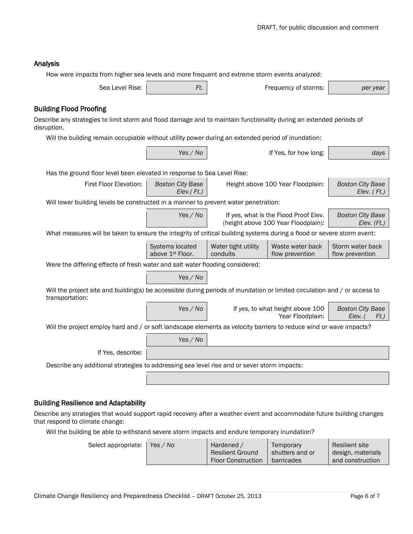## Analysis

|                                                                                                                                               | How were impacts from higher sea levels and more frequent and extreme storm events analyzed: |                                                                              |                                                      |                                               |  |  |  |  |
|-----------------------------------------------------------------------------------------------------------------------------------------------|----------------------------------------------------------------------------------------------|------------------------------------------------------------------------------|------------------------------------------------------|-----------------------------------------------|--|--|--|--|
| Sea Level Rise:                                                                                                                               | Ft.                                                                                          | Frequency of storms:                                                         |                                                      | per year                                      |  |  |  |  |
| <b>Building Flood Proofing</b>                                                                                                                |                                                                                              |                                                                              |                                                      |                                               |  |  |  |  |
| Describe any strategies to limit storm and flood damage and to maintain functionality during an extended periods of<br>disruption.            |                                                                                              |                                                                              |                                                      |                                               |  |  |  |  |
| Will the building remain occupiable without utility power during an extended period of inundation:                                            |                                                                                              |                                                                              |                                                      |                                               |  |  |  |  |
|                                                                                                                                               | Yes / No                                                                                     |                                                                              | If Yes, for how long:                                | days                                          |  |  |  |  |
| Has the ground floor level been elevated in response to Sea Level Rise:                                                                       |                                                                                              |                                                                              |                                                      |                                               |  |  |  |  |
| First Floor Elevation:                                                                                                                        | <b>Boston City Base</b><br>$Elev.$ $Ft.$ )                                                   | Height above 100 Year Floodplain:                                            |                                                      | <b>Boston City Base</b><br>Elev. $($ Ft. $)$  |  |  |  |  |
| Will lower building levels be constructed in a manner to prevent water penetration:                                                           |                                                                                              |                                                                              |                                                      |                                               |  |  |  |  |
|                                                                                                                                               | Yes / No                                                                                     | If yes, what is the Flood Proof Elev.<br>(height above 100 Year Floodplain): |                                                      | <b>Boston City Base</b><br>$Elev.$ $(Ft.)$    |  |  |  |  |
| What measures will be taken to ensure the integrity of critical building systems during a flood or severe storm event:                        |                                                                                              |                                                                              |                                                      |                                               |  |  |  |  |
|                                                                                                                                               | Systems located<br>above 1st Floor.                                                          | Water tight utility<br>conduits                                              | Waste water back<br>flow prevention                  | Storm water back<br>flow prevention           |  |  |  |  |
| Were the differing effects of fresh water and salt water flooding considered:                                                                 |                                                                                              |                                                                              |                                                      |                                               |  |  |  |  |
|                                                                                                                                               | Yes / No                                                                                     |                                                                              |                                                      |                                               |  |  |  |  |
| Will the project site and building(s) be accessible during periods of inundation or limited circulation and / or access to<br>transportation: |                                                                                              |                                                                              |                                                      |                                               |  |  |  |  |
|                                                                                                                                               | Yes / No                                                                                     |                                                                              | If yes, to what height above 100<br>Year Floodplain: | <b>Boston City Base</b><br>Elev. (<br>$Ft.$ ) |  |  |  |  |
| Will the project employ hard and / or soft landscape elements as velocity barriers to reduce wind or wave impacts?                            |                                                                                              |                                                                              |                                                      |                                               |  |  |  |  |
|                                                                                                                                               | Yes / No                                                                                     |                                                                              |                                                      |                                               |  |  |  |  |
| If Yes, describe:                                                                                                                             |                                                                                              |                                                                              |                                                      |                                               |  |  |  |  |
| Describe any additional strategies to addressing sea level rise and or sever storm impacts:                                                   |                                                                                              |                                                                              |                                                      |                                               |  |  |  |  |
|                                                                                                                                               |                                                                                              |                                                                              |                                                      |                                               |  |  |  |  |
|                                                                                                                                               |                                                                                              |                                                                              |                                                      |                                               |  |  |  |  |

## Building Resilience and Adaptability

Describe any strategies that would support rapid recovery after a weather event and accommodate future building changes that respond to climate change:

Will the building be able to withstand severe storm impacts and endure temporary inundation?

| Select appropriate: | Yes $\angle$ No | Hardened /<br><b>Resilient Ground</b><br>Floor Construction | Temporary<br>shutters and or<br>barricades | Resilient site<br>design, materials<br>and construction |
|---------------------|-----------------|-------------------------------------------------------------|--------------------------------------------|---------------------------------------------------------|
|---------------------|-----------------|-------------------------------------------------------------|--------------------------------------------|---------------------------------------------------------|